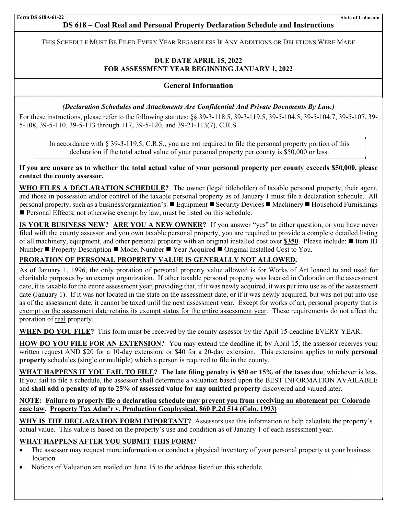the contract of the contract of the contract of THIS SCHEDULE MUST BE FILED EVERY YEAR REGARDLESS IF ANY ADDITIONS OR DELETIONS WERE MADE

# **DUE DATE APRIL 15, 2022 FOR ASSESSMENT YEAR BEGINNING JANUARY 1, 2022**

# **General Information**

## *(Declaration Schedules and Attachments Are Confidential And Private Documents By Law.)*

For these instructions, please refer to the following statutes: §§ 39-3-118.5, 39-3-119.5, 39-5-104.5, 39-5-104.7, 39-5-107, 39- 5-108, 39-5-110, 39-5-113 through 117, 39-5-120, and 39-21-113(7), C.R.S.

In accordance with § 39-3-119.5, C.R.S., you are not required to file the personal property portion of this declaration if the total actual value of your personal property per county is \$50,000 or less.

**If you are unsure as to whether the total actual value of your personal property per county exceeds \$50,000, please contact the county assessor.** 

**WHO FILES A DECLARATION SCHEDULE?** The owner (legal titleholder) of taxable personal property, their agent, and those in possession and/or control of the taxable personal property as of January 1 must file a declaration schedule. All personal property, such as a business/organization's: Equipment Security Devices Machinery Household Furnishings **Personal Effects, not otherwise exempt by law, must be listed on this schedule.** 

**IS YOUR BUSINESS NEW? ARE YOU A NEW OWNER?** If you answer "yes" to either question, or you have never filed with the county assessor and you own taxable personal property, you are required to provide a complete detailed listing of all machinery, equipment, and other personal property with an original installed cost over \$350. Please include: ■ Item ID Number ■ Property Description ■ Model Number ■ Year Acquired ■ Original Installed Cost to You.

# **PRORATION OF PERSONAL PROPERTY VALUE IS GENERALLY NOT ALLOWED.**

As of January 1, 1996, the only proration of personal property value allowed is for Works of Art loaned to and used for charitable purposes by an exempt organization. If other taxable personal property was located in Colorado on the assessment date, it is taxable for the entire assessment year, providing that, if it was newly acquired, it was put into use as of the assessment date (January 1). If it was not located in the state on the assessment date, or if it was newly acquired, but was not put into use as of the assessment date, it cannot be taxed until the next assessment year. Except for works of art, personal property that is exempt on the assessment date retains its exempt status for the entire assessment year. These requirements do not affect the proration of real property.

**WHEN DO YOU FILE?** This form must be received by the county assessor by the April 15 deadline EVERY YEAR.

**HOW DO YOU FILE FOR AN EXTENSION?** You may extend the deadline if, by April 15, the assessor receives your written request AND \$20 for a 10-day extension, or \$40 for a 20-day extension. This extension applies to **only personal property** schedules (single or multiple) which a person is required to file in the county.

**WHAT HAPPENS IF YOU FAIL TO FILE? The late filing penalty is \$50 or 15% of the taxes due**, whichever is less. If you fail to file a schedule, the assessor shall determine a valuation based upon the BEST INFORMATION AVAILABLE and **shall add a penalty of up to 25% of assessed value for any omitted property** discovered and valued later.

# **NOTE: Failure to properly file a declaration schedule may prevent you from receiving an abatement per Colorado case law. Property Tax Adm'r v. Production Geophysical, 860 P.2d 514 (Colo. 1993)**

WHY IS THE DECLARATION FORM IMPORTANT? Assessors use this information to help calculate the property's actual value. This value is based on the property's use and condition as of January 1 of each assessment year.

## **WHAT HAPPENS AFTER YOU SUBMIT THIS FORM?**

- The assessor may request more information or conduct a physical inventory of your personal property at your business location.
- Notices of Valuation are mailed on June 15 to the address listed on this schedule.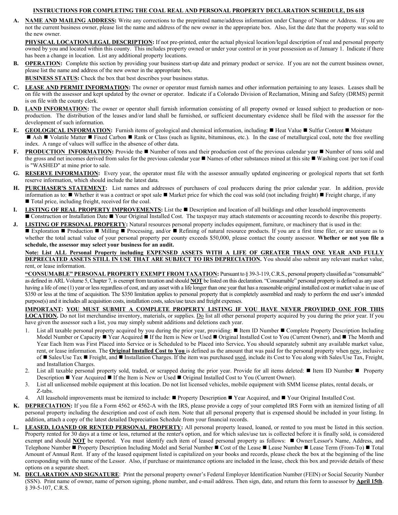## **INSTRUCTIONS FOR COMPLETING THE COAL REAL AND PERSONAL PROPERTY DECLARATION SCHEDULE, DS 618**

**A. NAME AND MAILING ADDRESS:** Write any corrections to the preprinted name/address information under Change of Name or Address. If you are not the current business owner, please list the name and address of the new owner in the appropriate box. Also, list the date that the property was sold to the new owner.

PHYSICAL LOCATION/LEGAL DESCRIPTION: If not pre-printed, enter the actual physical location/legal description of real and personal property owned by you and located within this county. This includes property owned or under your control or in your possession as of January 1. Indicate if there has been a change in location. List any additional property locations.

**OPERATION:** Complete this section by providing your business start-up date and primary product or service. If you are not the current business owner, please list the name and address of the new owner in the appropriate box.

**BUSINESS STATUS:** Check the box that best describes your business status.

- **C. LEASE AND PERMIT INFORMATION:** The owner or operator must furnish names and other information pertaining to any leases. Leases shall be on file with the assessor and kept updated by the owner or operator. Indicate if a Colorado Division of Reclamation, Mining and Safety (DRMS) permit is on file with the county clerk.
- **D. LAND INFORMATION:** The owner or operator shall furnish information consisting of all property owned or leased subject to production or nonproduction. The distribution of the leases and/or land shall be furnished, or sufficient documentary evidence shall be filed with the assessor for the development of such information.
- **E. GEOLOGICAL INFORMATION:** Furnish items of geological and chemical information, including: Heat Value Sulfur Content Moisture Ash  $\blacksquare$  Volatile Matter  $\blacksquare$  Fixed Carbon  $\blacksquare$  Rank or Class (such as lignite, bituminous, etc.). In the case of metallurgical coal, note the free swelling index. A range of values will suffice in the absence of other data.
- **F. PRODUCTION INFORMATION:** Provide the Number of tons and their production cost of the previous calendar year Number of tons sold and the gross and net incomes derived from sales for the previous calendar year **Names of other substances mined at this site Washing cost** /per ton if coal is "WASHED" at mine prior to sale.
- **G. RESERVE INFORMATION:** Every year, the operator must file with the assessor annually updated engineering or geological reports that set forth reserve information, which should include the latest data.
- **H. PURCHASER'S STATEMENT:** List names and addresses of purchasers of coal producers during the prior calendar year. In addition, provide information as to:  $\blacksquare$  Whether it was a contract or spot sale  $\blacksquare$  Market price for which the coal was sold (not including freight)  $\blacksquare$  Freight charge, if any ■ Total price, including freight, received for the coal.
- **I. LISTING OF REAL PROPERTY IMPROVEMENTS:** List the Description and location of all buildings and other leasehold improvements ■ Construction or Installation Date ■ Your Original Installed Cost. The taxpayer may attach statements or accounting records to describe this property.
- **J. LISTING OF PERSONAL PROPERTY:** Natural resources personal property includes equipment, furniture, or machinery that is used in the: ■ Exploration ■ Production ■ Milling ■ Processing, and/or ■ Refining of natural resource products. If you are a first time filer, or are unsure as to
	- whether the total actual value of your personal property per county exceeds \$50,000, please contact the county assessor. **Whether or not you file a schedule, the assessor may select your business for an audit.**

### **Note: List ALL Personal Property including EXPENSED ASSETS WITH A LIFE OF GREATER THAN ONE YEAR AND FULLY DEPRECIATED ASSETS STILL IN USE THAT ARE SUBJECT TO IRS DEPRECIATION.** You should also submit any relevant market value, rent, or lease information.

**"CONSUMABLE" PERSONAL PROPERTY EXEMPT FROM TAXATION:** Pursuant to § 39-3-119, C.R.S., personal property classified as "consumable" as defined in ARL Volume 5, Chapter 7, is exempt from taxation and should **NOT** be listed on this declaration. "Consumable" personal property is defined as any asset having a life of one (1) year or less regardless of cost, and any asset with a life longer than one year that has a reasonable original installed cost or market value in use of \$350 or less at the time of acquisition. The \$350 limitation applies to personal property that is completely assembled and ready to perform the end user's intended purpose(s) and it includes all acquisition costs, installation costs, sales/use taxes and freight expenses.

## **IMPORTANT: YOU MUST SUBMIT A COMPLETE PROPERTY LISTING IF YOU HAVE NEVER PROVIDED ONE FOR THIS LOCATION.** Do not list merchandise inventory, materials, or supplies. Do list all other personal property acquired by you during the prior year. If you

have given the assessor such a list, you may simply submit additions and deletions each year.

- 1. List all taxable personal property acquired by you during the prior year, providing: I Item ID Number I Complete Property Description Including Model Number or Capacity  $\blacksquare$  Year Acquired  $\blacksquare$  If the Item is New or Used  $\blacksquare$  Original Installed Cost to You (Current Owner), and  $\blacksquare$  The Month and Year Each Item was First Placed into Service or is Scheduled to be Placed into Service**.** You should separately submit any available market value, rent, or lease information. The **Original Installed Cost to You** is defined as the amount that was paid for the personal property when new, inclusive of ■ Sales/Use Tax ■ Freight, and ■ Installation Charges. If the item was purchased used, include its Cost to You along with Sales/Use Tax, Freight, and Installation Charges.
- 2. List all taxable personal property sold, traded, or scrapped during the prior year. Provide for all items deleted:  $\blacksquare$  Item ID Number  $\blacksquare$  Property Description  $\blacksquare$  Year Acquired  $\blacksquare$  If the Item is New or Used  $\blacksquare$  Original Installed Cost to You (Current Owner).
- 3. List all unlicensed mobile equipment at this location. Do not list licensed vehicles, mobile equipment with SMM license plates, rental decals, or Z-tabs.
- All leasehold improvements must be itemized to include: Property Description Year Acquired, and Your Original Installed Cost.
- **K. DEPRECIATION:** If you file a Form 4562 or 4562-A with the IRS, please provide a copy of your completed IRS Form with an itemized listing of all personal property including the description and cost of each item. Note that all personal property that is expensed should be included in your listing. In addition, attach a copy of the latest detailed Depreciation Schedule from your financial records.
- **L. LEASED, LOANED OR RENTED PERSONAL PROPERTY:** All personal property leased, loaned, or rented to you must be listed in this section. Property rented for 30 days at a time or less, returned at the renter's option, and for which sales/use tax is collected before it is finally sold, is considered exempt and should **NOT** be reported. You must identify each item of leased personal property as follows:  $\blacksquare$  Owner/Lessor's Name, Address, and Telephone Number ■ Property Description Including Model and Serial Number ■ Cost of the Lease ■ Lease Number ■ Lease Term (From-To) ■ Total Amount of Annual Rent. If any of the leased equipment listed is capitalized on your books and records, please check the box at the beginning of the line corresponding with the name of the Lessor. Also, if purchase or maintenance options are included in the lease, check this box and provide details of these options on a separate sheet.
- **M. DECLARATION AND SIGNATURE**: Print the personal property owner's Federal Employer Identification Number (FEIN) or Social Security Number (SSN). Print name of owner, name of person signing, phone number, and e-mail address. Then sign, date, and return this form to assessor by **April 15th**. § 39-5-107, C.R.S.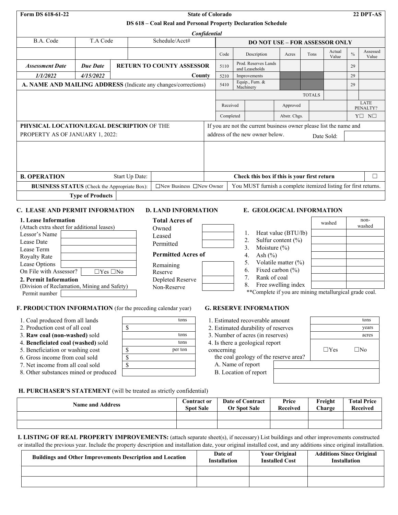| Form DS 618-61-22                                                                                                | <b>State of Colorado</b>                                            |                |                                                                |                                               |                           |                                                                 |                                               | 22 DPT-AS     |                       |               |                   |
|------------------------------------------------------------------------------------------------------------------|---------------------------------------------------------------------|----------------|----------------------------------------------------------------|-----------------------------------------------|---------------------------|-----------------------------------------------------------------|-----------------------------------------------|---------------|-----------------------|---------------|-------------------|
|                                                                                                                  | DS 618 - Coal Real and Personal Property Declaration Schedule       |                |                                                                |                                               |                           |                                                                 |                                               |               |                       |               |                   |
|                                                                                                                  |                                                                     |                |                                                                | Confidential                                  |                           |                                                                 |                                               |               |                       |               |                   |
| B.A. Code                                                                                                        | Schedule/Acct#<br>T.A Code<br><b>DO NOT USE - FOR ASSESSOR ONLY</b> |                |                                                                |                                               |                           |                                                                 |                                               |               |                       |               |                   |
|                                                                                                                  |                                                                     |                |                                                                | Code                                          |                           | Description                                                     | Acres                                         | Tons          | Actual<br>Value       | $\frac{0}{0}$ | Assessed<br>Value |
| <b>Assessment Date</b>                                                                                           | <b>Due Date</b>                                                     |                | <b>RETURN TO COUNTY ASSESSOR</b>                               | 5110                                          |                           | Prod. Reserves Lands<br>and Leaseholds                          |                                               |               |                       | 29            |                   |
| 1/1/2022                                                                                                         | 4/15/2022                                                           |                | County                                                         | 5210                                          |                           | Improvements                                                    |                                               |               |                       | 29            |                   |
|                                                                                                                  |                                                                     |                | A. NAME AND MAILING ADDRESS (Indicate any changes/corrections) | 5410                                          | Machinery                 | Equip., Furn. &                                                 |                                               |               |                       | 29            |                   |
|                                                                                                                  |                                                                     |                |                                                                |                                               |                           |                                                                 |                                               | <b>TOTALS</b> |                       |               |                   |
|                                                                                                                  |                                                                     |                |                                                                |                                               | Received                  |                                                                 | Approved                                      |               |                       |               | LATE<br>PENALTY?  |
|                                                                                                                  |                                                                     |                |                                                                |                                               | Completed<br>Abstr. Chgs. |                                                                 |                                               |               | $Y \square N \square$ |               |                   |
| PHYSICAL LOCATION/LEGAL DESCRIPTION OF THE<br>If you are not the current business owner please list the name and |                                                                     |                |                                                                |                                               |                           |                                                                 |                                               |               |                       |               |                   |
| PROPERTY AS OF JANUARY 1, 2022:                                                                                  |                                                                     |                |                                                                | address of the new owner below.<br>Date Sold: |                           |                                                                 |                                               |               |                       |               |                   |
|                                                                                                                  |                                                                     |                |                                                                |                                               |                           |                                                                 |                                               |               |                       |               |                   |
| <b>B. OPERATION</b>                                                                                              |                                                                     | Start Up Date: |                                                                |                                               |                           | Check this box if this is your first return                     |                                               |               |                       |               | □                 |
| <b>BUSINESS STATUS</b> (Check the Appropriate Box):                                                              |                                                                     |                | $\Box$ New Business $\Box$ New Owner                           |                                               |                           | You MUST furnish a complete itemized listing for first returns. |                                               |               |                       |               |                   |
|                                                                                                                  | <b>Type of Products</b>                                             |                |                                                                |                                               |                           |                                                                 |                                               |               |                       |               |                   |
| C. LEASE AND PERMIT INFORMATION                                                                                  |                                                                     |                | <b>D. LAND INFORMATION</b>                                     |                                               |                           | E. GEOLOGICAL INFORMATION                                       |                                               |               |                       |               |                   |
| 1. Lease Information<br>(Attach extra sheet for additional leases)<br>Lessor's Name<br>Lease Date                |                                                                     |                | <b>Total Acres of</b><br>Owned<br>Leased                       |                                               | 1.<br>2.                  |                                                                 | Heat value (BTU/lb)<br>Sulfur content $(\% )$ |               | washed                |               | non-<br>washed    |
| Lease Term                                                                                                       |                                                                     |                | Permitted                                                      |                                               | 3.                        | Moisture $(\% )$                                                |                                               |               |                       |               |                   |

| <b>Permitted Acres of</b> |  |
|---------------------------|--|
|---------------------------|--|

| Remaining |
|-----------|
| Reserve   |

| . .              |
|------------------|
| Reserve          |
| Depleted Reserve |
| Non-Reserve      |

| 1.                     | Heat value (BTU/lb)    |
|------------------------|------------------------|
| $\mathfrak{D}_{\cdot}$ | Sulfur content $(\% )$ |
| 3.                     | Moisture $(\% )$       |
| $\overline{4}$ .       | Ash $(\% )$            |
| 5.                     | Volatile matter $(\%)$ |
| 6.                     | Fixed carbon (%)       |
| 7.                     | Rank of coal           |
| 8.                     | Free swelling index    |

\*\*Complete if you are mining metallurgical grade coal.

# **F. PRODUCTION INFORMATION** (for the preceding calendar year)

1. Coal produced from all lands tons

On File with Assessor? □ ∑Yes □No

(Division of Reclamation, Mining and Safety)

2. Production cost of all coal  $\|\$ 

**2. Permit Information**

Permit number

Royalty Rate Lease Options

- 3. **Raw coal (non-washed)** sold tons
- 4. **Beneficiated coal (washed)** sold
- 5. Beneficiation or washing cost  $\sqrt{\$}$
- 6. Gross income from coal sold  $\sqrt{\$}$
- 7. Net income from all coal sold  $\sqrt{\$}$
- 8. Other substances mined or produced

## **G. RESERVE INFORMATION**

- 1. Estimated recoverable amount tons
- 2. Estimated durability of reserves
- 3. Number of acres (in reserves)
- 4. Is there a geological report
- concerning

the coal geology of the reserve area?

- A. Name of report
- B. Location of report

|            | years        |
|------------|--------------|
|            | acres        |
| $\Box$ Yes | $\square$ No |
|            |              |

## **H. PURCHASER'S STATEMENT** (will be treated as strictly confidential)

| <b>Name and Address</b> | <b>Contract or</b><br><b>Spot Sale</b> | <b>Date of Contract</b><br><b>Or Spot Sale</b> | Price<br><b>Received</b> | Freight<br><b>Charge</b> | <b>Total Price</b><br><b>Received</b> |
|-------------------------|----------------------------------------|------------------------------------------------|--------------------------|--------------------------|---------------------------------------|
|                         |                                        |                                                |                          |                          |                                       |
|                         |                                        |                                                |                          |                          |                                       |

## **I. LISTING OF REAL PROPERTY IMPROVEMENTS:** (attach separate sheet(s), if necessary) List buildings and other improvements constructed or installed the previous year. Include the property description and installation date, your original installed cost, and any additions since original installation.

| <b>Buildings and Other Improvements Description and Location</b> | Date of<br><b>Installation</b> | <b>Your Original</b><br><b>Installed Cost</b> | <b>Additions Since Original</b><br><b>Installation</b> |
|------------------------------------------------------------------|--------------------------------|-----------------------------------------------|--------------------------------------------------------|
|                                                                  |                                |                                               |                                                        |
|                                                                  |                                |                                               |                                                        |